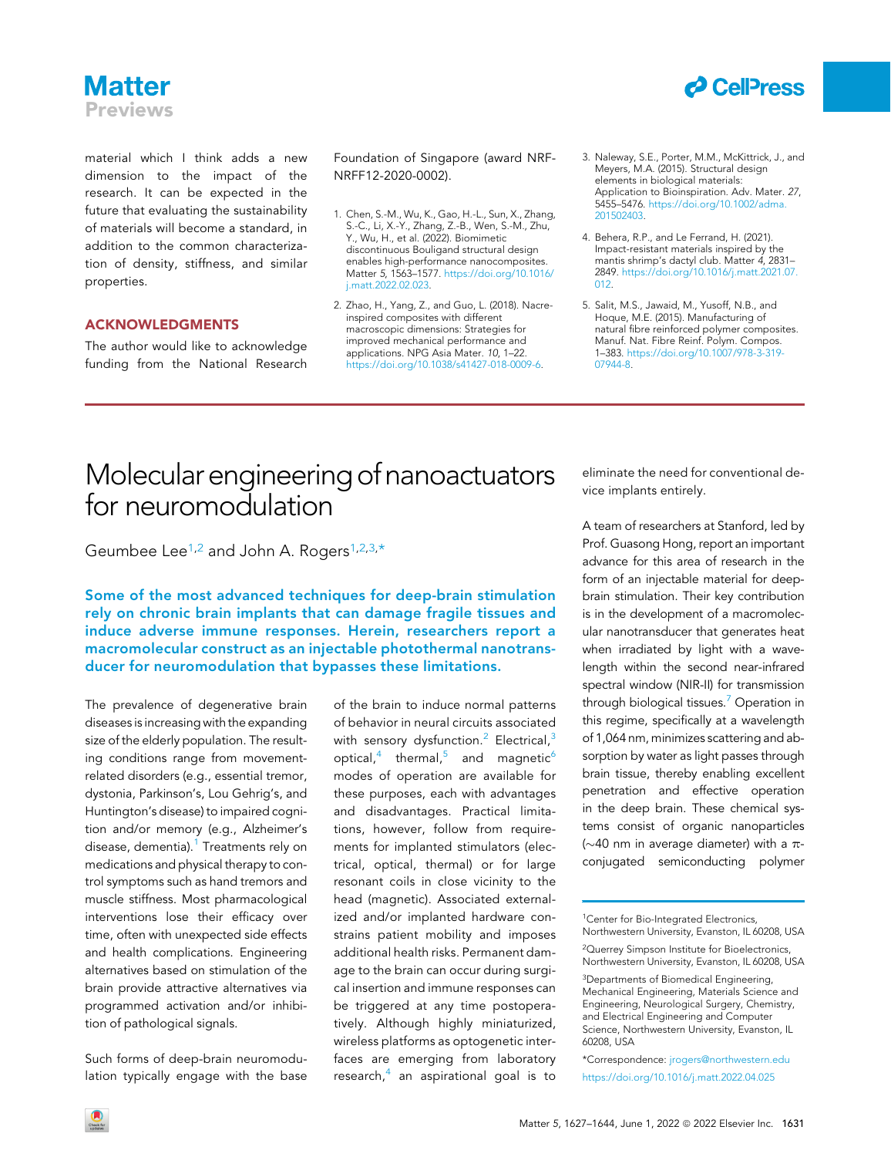### **Matter Previews**

material which I think adds a new dimension to the impact of the research. It can be expected in the future that evaluating the sustainability of materials will become a standard, in addition to the common characterization of density, stiffness, and similar properties.

#### ACKNOWLEDGMENTS

The author would like to acknowledge funding from the National Research Foundation of Singapore (award NRF-NRFF12-2020-0002).

- 1. Chen, S.-M., Wu, K., Gao, H.-L., Sun, X., Zhang, S.-C., Li, X.-Y., Zhang, Z.-B., Wen, S.-M., Zhu, Y., Wu, H., et al. (2022). Biomimetic discontinuous Bouligand structural design enables high-performance nanocomposites. Matter 5, 1563–1577. [https://doi.org/10.1016/](https://doi.org/10.1016/j.matt.2022.02.023) [j.matt.2022.02.023](https://doi.org/10.1016/j.matt.2022.02.023).
- 2. Zhao, H., Yang, Z., and Guo, L. (2018). Nacreinspired composites with different macroscopic dimensions: Strategies for improved mechanical performance and applications. NPG Asia Mater. 10, 1–22. <https://doi.org/10.1038/s41427-018-0009-6>.
- 3. Naleway, S.E., Porter, M.M., McKittrick, J., and Meyers, M.A. (2015). Structural design elements in biological materials: Application to Bioinspiration. Adv. Mater. 27, 5455–5476. [https://doi.org/10.1002/adma.](https://doi.org/10.1002/adma.201502403) [201502403.](https://doi.org/10.1002/adma.201502403)

*d* CellPress

- 4. Behera, R.P., and Le Ferrand, H. (2021). Impact-resistant materials inspired by the mantis shrimp's dactyl club. Matter 4, 2831-2849. [https://doi.org/10.1016/j.matt.2021.07.](https://doi.org/10.1016/j.matt.2021.07.012) [012.](https://doi.org/10.1016/j.matt.2021.07.012)
- 5. Salit, M.S., Jawaid, M., Yusoff, N.B., and Hoque, M.E. (2015). Manufacturing of natural fibre reinforced polymer composites. Manuf. Nat. Fibre Reinf. Polym. Compos. 1–383. [https://doi.org/10.1007/978-3-319-](https://doi.org/10.1007/978-3-319-07944-8) [07944-8](https://doi.org/10.1007/978-3-319-07944-8).

## Molecular engineering of nanoactuators for neuromodulation

Geumbee Lee<sup>1,[2](#page-0-1)</sup> and John A. Rogers<sup>[1](#page-0-0)[,2,](#page-0-1)[3,](#page-0-2)[\\*](#page-0-3)</sup>

Some of the most advanced techniques for deep-brain stimulation rely on chronic brain implants that can damage fragile tissues and induce adverse immune responses. Herein, researchers report a macromolecular construct as an injectable photothermal nanotransducer for neuromodulation that bypasses these limitations.

The prevalence of degenerative brain diseases is increasing with the expanding size of the elderly population. The resulting conditions range from movementrelated disorders (e.g., essential tremor, dystonia, Parkinson's, Lou Gehrig's, and Huntington's disease) to impaired cognition and/or memory (e.g., Alzheimer's disease, dementia).<sup>[1](#page-1-0)</sup> Treatments rely on medications and physical therapy to control symptoms such as hand tremors and muscle stiffness. Most pharmacological interventions lose their efficacy over time, often with unexpected side effects and health complications. Engineering alternatives based on stimulation of the brain provide attractive alternatives via programmed activation and/or inhibition of pathological signals.

Such forms of deep-brain neuromodulation typically engage with the base of the brain to induce normal patterns of behavior in neural circuits associated with sensory dysfunction.<sup>[2](#page-1-1)</sup> Electrical,<sup>[3](#page-1-2)</sup> optical, $4$  thermal, $5$  and magnetic<sup>[6](#page-2-1)</sup> modes of operation are available for these purposes, each with advantages and disadvantages. Practical limitations, however, follow from requirements for implanted stimulators (electrical, optical, thermal) or for large resonant coils in close vicinity to the head (magnetic). Associated externalized and/or implanted hardware constrains patient mobility and imposes additional health risks. Permanent damage to the brain can occur during surgical insertion and immune responses can be triggered at any time postoperatively. Although highly miniaturized, wireless platforms as optogenetic interfaces are emerging from laboratory research, $4$  an aspirational goal is to

eliminate the need for conventional device implants entirely.

A team of researchers at Stanford, led by Prof. Guasong Hong, report an important advance for this area of research in the form of an injectable material for deepbrain stimulation. Their key contribution is in the development of a macromolecular nanotransducer that generates heat when irradiated by light with a wavelength within the second near-infrared spectral window (NIR-II) for transmission through biological tissues.<sup>[7](#page-2-2)</sup> Operation in this regime, specifically at a wavelength of 1,064 nm, minimizes scattering and absorption by water as light passes through brain tissue, thereby enabling excellent penetration and effective operation in the deep brain. These chemical systems consist of organic nanoparticles ( $\sim$ 40 nm in average diameter) with a  $\pi$ conjugated semiconducting polymer

<span id="page-0-0"></span>1Center for Bio-Integrated Electronics, Northwestern University, Evanston, IL 60208, USA

<span id="page-0-3"></span><sup>\*</sup>Correspondence: [jrogers@northwestern.edu](mailto:jrogers@northwestern.edu) <https://doi.org/10.1016/j.matt.2022.04.025>





<span id="page-0-1"></span><sup>2</sup>Querrey Simpson Institute for Bioelectronics, Northwestern University, Evanston, IL 60208, USA

<span id="page-0-2"></span><sup>3</sup>Departments of Biomedical Engineering, Mechanical Engineering, Materials Science and Engineering, Neurological Surgery, Chemistry, and Electrical Engineering and Computer Science, Northwestern University, Evanston, IL 60208, USA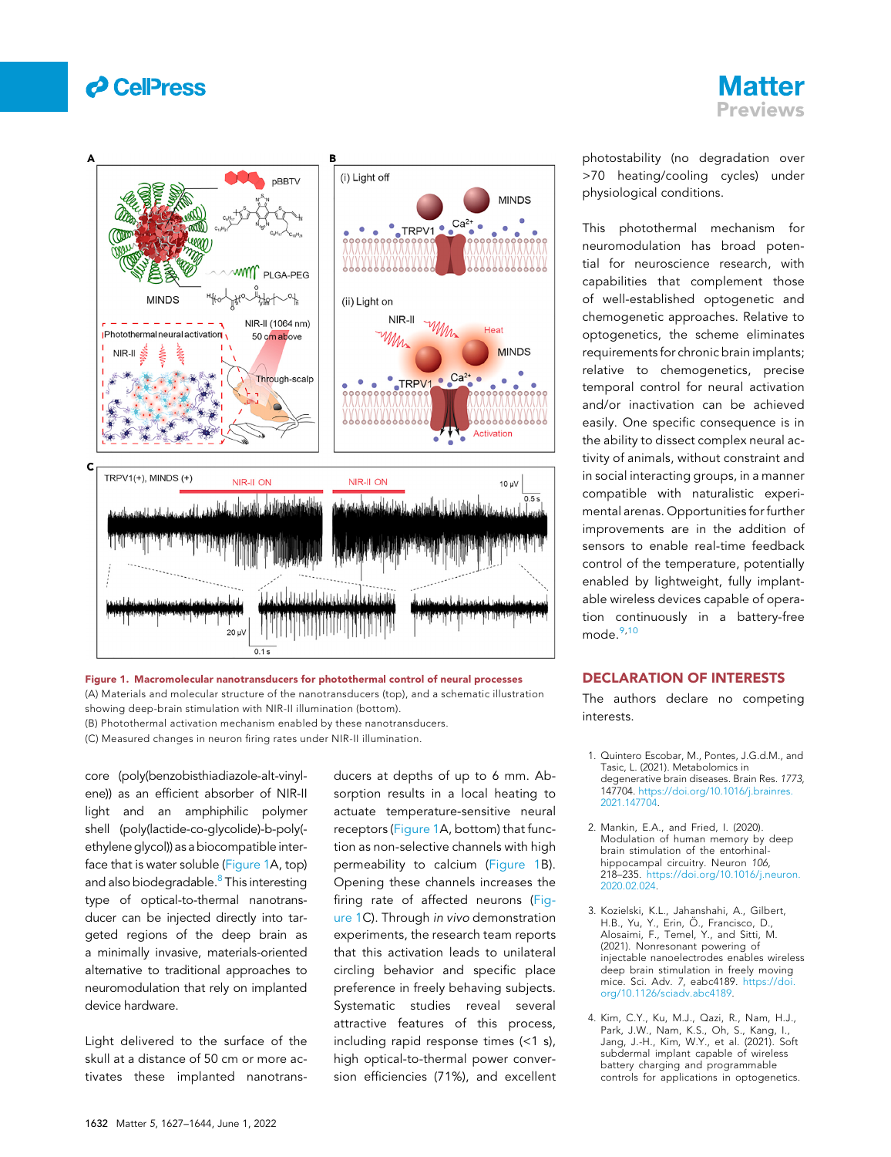



<span id="page-1-4"></span>

Figure 1. Macromolecular nanotransducers for photothermal control of neural processes (A) Materials and molecular structure of the nanotransducers (top), and a schematic illustration showing deep-brain stimulation with NIR-II illumination (bottom). (B) Photothermal activation mechanism enabled by these nanotransducers. (C) Measured changes in neuron firing rates under NIR-II illumination.

core (poly(benzobisthiadiazole-alt-vinylene)) as an efficient absorber of NIR-II light and an amphiphilic polymer shell (poly(lactide-co-glycolide)-b-poly( ethylene glycol)) as a biocompatible interface that is water soluble ([Figure 1A](#page-1-4), top) and also biodegradable.<sup>8</sup> This interesting type of optical-to-thermal nanotransducer can be injected directly into targeted regions of the deep brain as a minimally invasive, materials-oriented alternative to traditional approaches to neuromodulation that rely on implanted device hardware.

Light delivered to the surface of the skull at a distance of 50 cm or more activates these implanted nanotransducers at depths of up to 6 mm. Absorption results in a local heating to actuate temperature-sensitive neural receptors ([Figure 1A](#page-1-4), bottom) that function as non-selective channels with high permeability to calcium [\(Figure 1](#page-1-4)B). Opening these channels increases the firing rate of affected neurons [\(Fig](#page-1-4)[ure 1](#page-1-4)C). Through in vivo demonstration experiments, the research team reports that this activation leads to unilateral circling behavior and specific place preference in freely behaving subjects. Systematic studies reveal several attractive features of this process, including rapid response times (<1 s), high optical-to-thermal power conversion efficiencies (71%), and excellent photostability (no degradation over >70 heating/cooling cycles) under physiological conditions.

This photothermal mechanism for neuromodulation has broad potential for neuroscience research, with capabilities that complement those of well-established optogenetic and chemogenetic approaches. Relative to optogenetics, the scheme eliminates requirements for chronic brain implants; relative to chemogenetics, precise temporal control for neural activation and/or inactivation can be achieved easily. One specific consequence is in the ability to dissect complex neural activity of animals, without constraint and in social interacting groups, in a manner compatible with naturalistic experimental arenas. Opportunities for further improvements are in the addition of sensors to enable real-time feedback control of the temperature, potentially enabled by lightweight, fully implantable wireless devices capable of operation continuously in a battery-free mode.<sup>[9](#page-2-4),[10](#page-2-5)</sup>

### DECLARATION OF INTERESTS

The authors declare no competing interests.

- <span id="page-1-0"></span>1. Quintero Escobar, M., Pontes, J.G.d.M., and Tasic, L. (2021). Metabolomics in degenerative brain diseases. Brain Res. 1773, 147704. [https://doi.org/10.1016/j.brainres.](https://doi.org/10.1016/j.brainres.2021.147704) [2021.147704](https://doi.org/10.1016/j.brainres.2021.147704).
- <span id="page-1-1"></span>2. Mankin, E.A., and Fried, I. (2020). Modulation of human memory by deep brain stimulation of the entorhinalhippocampal circuitry. Neuron 106, 218–235. [https://doi.org/10.1016/j.neuron.](https://doi.org/10.1016/j.neuron.2020.02.024) [2020.02.024](https://doi.org/10.1016/j.neuron.2020.02.024).
- <span id="page-1-2"></span>3. Kozielski, K.L., Jahanshahi, A., Gilbert, H.B., Yu, Y., Erin, Ö., Francisco, D., Alosaimi, F., Temel, Y., and Sitti, M. (2021). Nonresonant powering of injectable nanoelectrodes enables wireless deep brain stimulation in freely moving mice. Sci. Adv. 7, eabc4189. [https://doi.](https://doi.org/10.1126/sciadv.abc4189) [org/10.1126/sciadv.abc4189.](https://doi.org/10.1126/sciadv.abc4189)
- <span id="page-1-3"></span>4. Kim, C.Y., Ku, M.J., Qazi, R., Nam, H.J., Park, J.W., Nam, K.S., Oh, S., Kang, I., Jang, J.-H., Kim, W.Y., et al. (2021). Soft subdermal implant capable of wireless battery charging and programmable controls for applications in optogenetics.